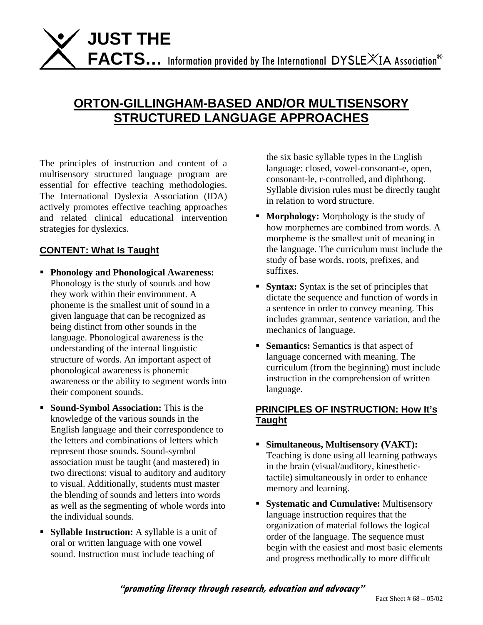## **ORTON-GILLINGHAM-BASED AND/OR MULTISENSORY STRUCTURED LANGUAGE APPROACHES**

The principles of instruction and content of a multisensory structured language program are essential for effective teaching methodologies. The International Dyslexia Association (IDA) actively promotes effective teaching approaches and related clinical educational intervention strategies for dyslexics.

## **CONTENT: What Is Taught**

- **Phonology and Phonological Awareness:**  Phonology is the study of sounds and how they work within their environment. A phoneme is the smallest unit of sound in a given language that can be recognized as being distinct from other sounds in the language. Phonological awareness is the understanding of the internal linguistic structure of words. An important aspect of phonological awareness is phonemic awareness or the ability to segment words into their component sounds.
- **Sound-Symbol Association:** This is the knowledge of the various sounds in the English language and their correspondence to the letters and combinations of letters which represent those sounds. Sound-symbol association must be taught (and mastered) in two directions: visual to auditory and auditory to visual. Additionally, students must master the blending of sounds and letters into words as well as the segmenting of whole words into the individual sounds.
- **Syllable Instruction:** A syllable is a unit of oral or written language with one vowel sound. Instruction must include teaching of

the six basic syllable types in the English language: closed, vowel-consonant-e, open, consonant-le, r-controlled, and diphthong. Syllable division rules must be directly taught in relation to word structure.

- **Morphology:** Morphology is the study of how morphemes are combined from words. A morpheme is the smallest unit of meaning in the language. The curriculum must include the study of base words, roots, prefixes, and suffixes.
- **Syntax:** Syntax is the set of principles that dictate the sequence and function of words in a sentence in order to convey meaning. This includes grammar, sentence variation, and the mechanics of language.
- **Semantics:** Semantics is that aspect of language concerned with meaning. The curriculum (from the beginning) must include instruction in the comprehension of written language.

## **PRINCIPLES OF INSTRUCTION: How It's Taught**

- **Simultaneous, Multisensory (VAKT):**  Teaching is done using all learning pathways in the brain (visual/auditory, kinesthetictactile) simultaneously in order to enhance memory and learning.
- **Systematic and Cumulative: Multisensory** language instruction requires that the organization of material follows the logical order of the language. The sequence must begin with the easiest and most basic elements and progress methodically to more difficult

**"promoting literacy through research, education and advocacy"**